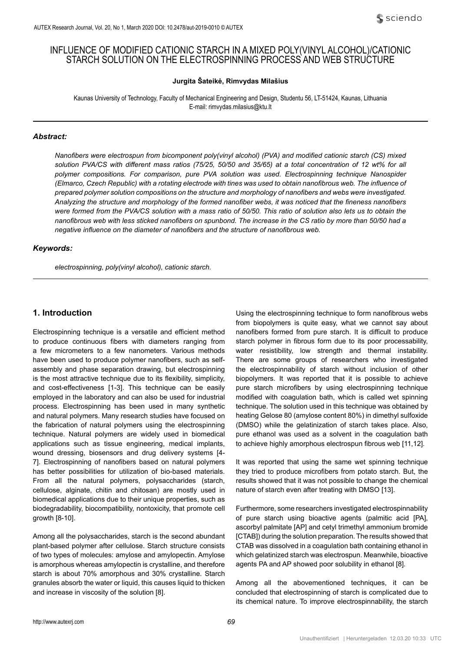# INFLUENCE OF MODIFIED CATIONIC STARCH IN A MIXED POLY(VINYL ALCOHOL)/CATIONIC STARCH SOLUTION ON THE ELECTROSPINNING PROCESS AND WEB STRUCTURE

### **Jurgita Šateikė, Rimvydas Milašius**

Kaunas University of Technology, Faculty of Mechanical Engineering and Design, Studentu 56, LT-51424, Kaunas, Lithuania E-mail: rimvydas.milasius@ktu.lt

#### *Abstract:*

*Nanofibers were electrospun from bicomponent poly(vinyl alcohol) (PVA) and modified cationic starch (CS) mixed*  solution PVA/CS with different mass ratios (75/25, 50/50 and 35/65) at a total concentration of 12 wt% for all *polymer compositions. For comparison, pure PVA solution was used. Electrospinning technique Nanospider (Elmarco, Czech Republic) with a rotating electrode with tines was used to obtain nanofibrous web. The influence of prepared polymer solution compositions on the structure and morphology of nanofibers and webs were investigated. Analyzing the structure and morphology of the formed nanofiber webs, it was noticed that the fineness nanofibers were formed from the PVA/CS solution with a mass ratio of 50/50. This ratio of solution also lets us to obtain the nanofibrous web with less sticked nanofibers on spunbond. The increase in the CS ratio by more than 50/50 had a negative influence on the diameter of nanofibers and the structure of nanofibrous web.*

## *Keywords:*

*electrospinning, poly(vinyl alcohol), cationic starch.*

### **1. Introduction**

Electrospinning technique is a versatile and efficient method to produce continuous fibers with diameters ranging from a few micrometers to a few nanometers. Various methods have been used to produce polymer nanofibers, such as selfassembly and phase separation drawing, but electrospinning is the most attractive technique due to its flexibility, simplicity, and cost-effectiveness [1-3]. This technique can be easily employed in the laboratory and can also be used for industrial process. Electrospinning has been used in many synthetic and natural polymers. Many research studies have focused on the fabrication of natural polymers using the electrospinning technique. Natural polymers are widely used in biomedical applications such as tissue engineering, medical implants, wound dressing, biosensors and drug delivery systems [4- 7]. Electrospinning of nanofibers based on natural polymers has better possibilities for utilization of bio-based materials. From all the natural polymers, polysaccharides (starch, cellulose, alginate, chitin and chitosan) are mostly used in biomedical applications due to their unique properties, such as biodegradability, biocompatibility, nontoxicity, that promote cell growth [8-10].

Among all the polysaccharides, starch is the second abundant plant-based polymer after cellulose. Starch structure consists of two types of molecules: amylose and amylopectin. Amylose is amorphous whereas amylopectin is crystalline, and therefore starch is about 70% amorphous and 30% crystalline. Starch granules absorb the water or liquid, this causes liquid to thicken and increase in viscosity of the solution [8].

Using the electrospinning technique to form nanofibrous webs from biopolymers is quite easy, what we cannot say about nanofibers formed from pure starch. It is difficult to produce starch polymer in fibrous form due to its poor processability, water resistibility, low strength and thermal instability. There are some groups of researchers who investigated the electrospinnability of starch without inclusion of other biopolymers. It was reported that it is possible to achieve pure starch microfibers by using electrospinning technique modified with coagulation bath, which is called wet spinning technique. The solution used in this technique was obtained by heating Gelose 80 (amylose content 80%) in dimethyl sulfoxide (DMSO) while the gelatinization of starch takes place. Also, pure ethanol was used as a solvent in the coagulation bath to achieve highly amorphous electrospun fibrous web [11,12].

It was reported that using the same wet spinning technique they tried to produce microfibers from potato starch. But, the results showed that it was not possible to change the chemical nature of starch even after treating with DMSO [13].

Furthermore, some researchers investigated electrospinnability of pure starch using bioactive agents (palmitic acid [PA], ascorbyl palmitate [AP] and cetyl trimethyl ammonium bromide [CTAB]) during the solution preparation. The results showed that CTAB was dissolved in a coagulation bath containing ethanol in which gelatinized starch was electrospun. Meanwhile, bioactive agents PA and AP showed poor solubility in ethanol [8].

Among all the abovementioned techniques, it can be concluded that electrospinning of starch is complicated due to its chemical nature. To improve electrospinnability, the starch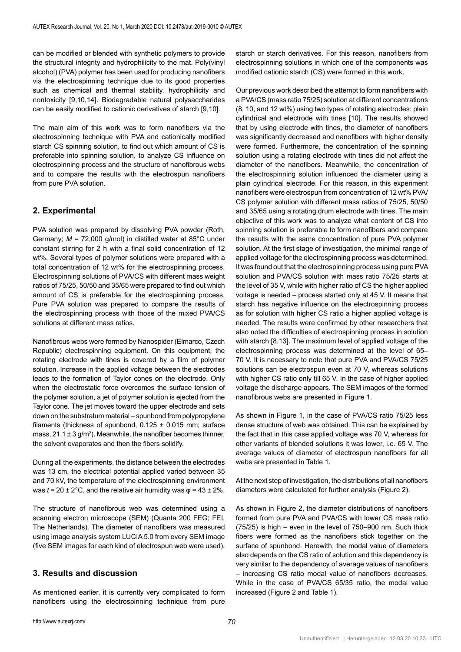can be modified or blended with synthetic polymers to provide the structural integrity and hydrophilicity to the mat. Poly(vinyl alcohol) (PVA) polymer has been used for producing nanofibers via the electrospinning technique due to its good properties such as chemical and thermal stability, hydrophilicity and nontoxicity [9,10,14]. Biodegradable natural polysaccharides can be easily modified to cationic derivatives of starch [9,10].

The main aim of this work was to form nanofibers via the electrospinning technique with PVA and cationically modified starch CS spinning solution, to find out which amount of CS is preferable into spinning solution, to analyze CS influence on electrospinning process and the structure of nanofibrous webs and to compare the results with the electrospun nanofibers from pure PVA solution.

# **2. Experimental**

PVA solution was prepared by dissolving PVA powder (Roth, Germany; *M* = 72,000 g/mol) in distilled water at 85°C under constant stirring for 2 h with a final solid concentration of 12 wt%. Several types of polymer solutions were prepared with a total concentration of 12 wt% for the electrospinning process. Electrospinning solutions of PVA/CS with different mass weight ratios of 75/25, 50/50 and 35/65 were prepared to find out which amount of CS is preferable for the electrospinning process. Pure PVA solution was prepared to compare the results of the electrospinning process with those of the mixed PVA/CS solutions at different mass ratios.

Nanofibrous webs were formed by Nanospider (Elmarco, Czech Republic) electrospinning equipment. On this equipment, the rotating electrode with tines is covered by a film of polymer solution. Increase in the applied voltage between the electrodes leads to the formation of Taylor cones on the electrode. Only when the electrostatic force overcomes the surface tension of the polymer solution, a jet of polymer solution is ejected from the Taylor cone. The jet moves toward the upper electrode and sets down on the substratum material – spunbond from polypropylene filaments (thickness of spunbond,  $0.125 \pm 0.015$  mm; surface mass,  $21.1 \pm 3$  g/m<sup>2</sup>). Meanwhile, the nanofiber becomes thinner, the solvent evaporates and then the fibers solidify.

During all the experiments, the distance between the electrodes was 13 cm, the electrical potential applied varied between 35 and 70 kV, the temperature of the electrospinning environment was *t* = 20 ± 2°C, and the relative air humidity was φ = 43 ± 2%.

The structure of nanofibrous web was determined using a scanning electron microscope (SEM) (Quanta 200 FEG; FEI, The Netherlands). The diameter of nanofibers was measured using image analysis system LUCIA 5.0 from every SEM image (five SEM images for each kind of electrospun web were used).

## **3. Results and discussion**

As mentioned earlier, it is currently very complicated to form nanofibers using the electrospinning technique from pure starch or starch derivatives. For this reason, nanofibers from electrospinning solutions in which one of the components was modified cationic starch (CS) were formed in this work.

Our previous work described the attempt to form nanofibers with a PVA/CS (mass ratio 75/25) solution at different concentrations (8, 10, and 12 wt%) using two types of rotating electrodes: plain cylindrical and electrode with tines [10]. The results showed that by using electrode with tines, the diameter of nanofibers was significantly decreased and nanofibers with higher density were formed. Furthermore, the concentration of the spinning solution using a rotating electrode with tines did not affect the diameter of the nanofibers. Meanwhile, the concentration of the electrospinning solution influenced the diameter using a plain cylindrical electrode. For this reason, in this experiment nanofibers were electrospun from concentration of 12 wt% PVA/ CS polymer solution with different mass ratios of 75/25, 50/50 and 35/65 using a rotating drum electrode with tines. The main objective of this work was to analyze what content of CS into spinning solution is preferable to form nanofibers and compare the results with the same concentration of pure PVA polymer solution. At the first stage of investigation, the minimal range of applied voltage for the electrospinning process was determined. It was found out that the electrospinning process using pure PVA solution and PVA/CS solution with mass ratio 75/25 starts at the level of 35 V, while with higher ratio of CS the higher applied voltage is needed – process started only at 45 V. It means that starch has negative influence on the electrospinning process as for solution with higher CS ratio a higher applied voltage is needed. The results were confirmed by other researchers that also noted the difficulties of electrospinning process in solution with starch [8,13]. The maximum level of applied voltage of the electrospinning process was determined at the level of 65– 70 V. It is necessary to note that pure PVA and PVA/CS 75/25 solutions can be electrospun even at 70 V, whereas solutions with higher CS ratio only till 65 V. In the case of higher applied voltage the discharge appears. The SEM images of the formed nanofibrous webs are presented in Figure 1.

As shown in Figure 1, in the case of PVA/CS ratio 75/25 less dense structure of web was obtained. This can be explained by the fact that in this case applied voltage was 70 V, whereas for other variants of blended solutions it was lower, i.e. 65 V. The average values of diameter of electrospun nanofibers for all webs are presented in Table 1.

At the next step of investigation, the distributions of all nanofibers diameters were calculated for further analysis (Figure 2).

As shown in Figure 2, the diameter distributions of nanofibers formed from pure PVA and PVA/CS with lower CS mass ratio (75/25) is high – even in the level of 750–900 nm. Such thick fibers were formed as the nanofibers stick together on the surface of spunbond. Herewith, the modal value of diameters also depends on the CS ratio of solution and this dependency is very similar to the dependency of average values of nanofibers – increasing CS ratio modal value of nanofibers decreases. While in the case of PVA/CS 65/35 ratio, the modal value increased (Figure 2 and Table 1).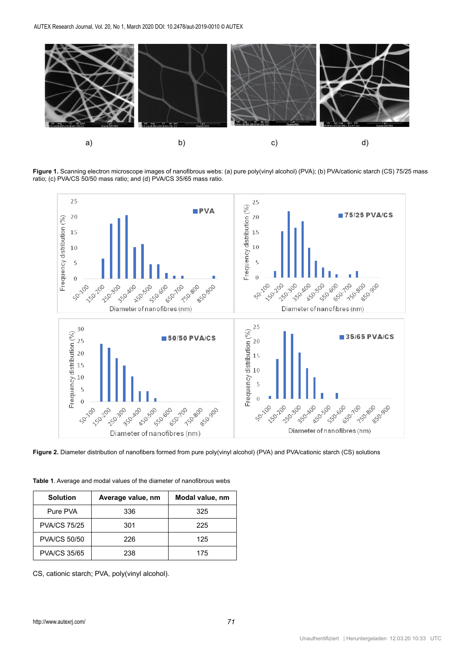

mass ratio; d) PVA/CS 35/65 mass ratio. ratio; (c) PVA/CS 50/50 mass ratio; and (d) PVA/CS 35/65 mass ratio. Figure 1. Scanning electron microscope images of nanofibrous webs: (a) pure poly(vinyl alcohol) (PVA); (b) PVA/cationic starch (CS) 75/25 mass



Figure 2. Diameter distribution of nanofibers formed from pure poly(vinyl alcohol) (PVA) and PVA/cationic starch (CS) solutions

**Table 1**. Average and modal values of the diameter of nanofibrous webs

| <b>Solution</b>     | Average value, nm | Modal value, nm |
|---------------------|-------------------|-----------------|
| Pure PVA            | 336               | 325             |
| <b>PVA/CS 75/25</b> | 301               | 225             |
| <b>PVA/CS 50/50</b> | 226               | 125             |
| <b>PVA/CS 35/65</b> | 238               | 175             |

CS, cationic starch; PVA, poly(vinyl alcohol).